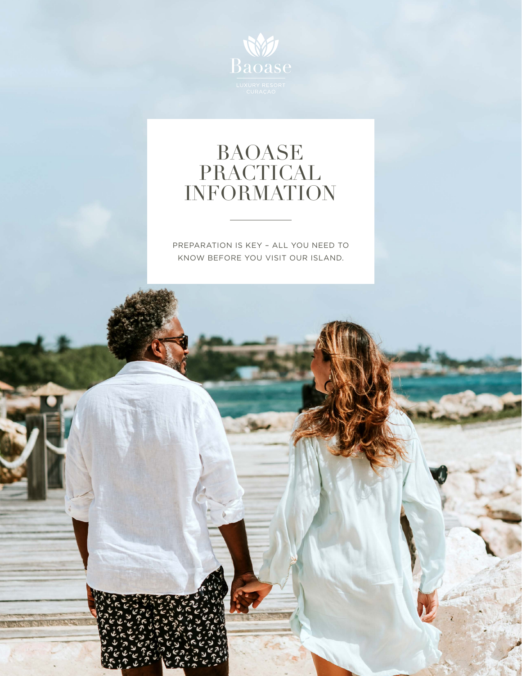

#### BAOASE PRACTICAL INFORMATION

PREPARATION IS KEY – ALL YOU NEED TO KNOW BEFORE YOU VISIT OUR ISLAND.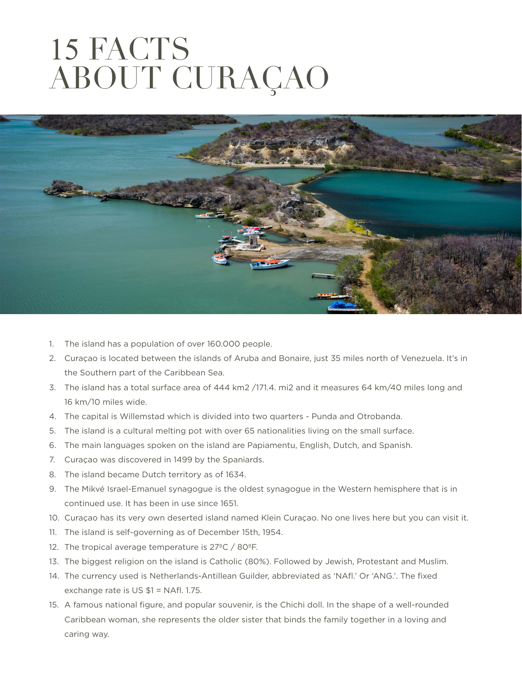# 15 FACTS ABOUT CURAÇAO



- 1. The island has a population of over 160.000 people.
- 2. Curaçao is located between the islands of Aruba and Bonaire, just 35 miles north of Venezuela. It's in the Southern part of the Caribbean Sea.
- 3. The island has a total surface area of 444 km2 /171.4. mi2 and it measures 64 km/40 miles long and 16 km/10 miles wide.
- 4. The capital is Willemstad which is divided into two quarters Punda and Otrobanda.
- 5. The island is a cultural melting pot with over 65 nationalities living on the small surface.
- 6. The main languages spoken on the island are Papiamentu, English, Dutch, and Spanish.
- 7. Curaçao was discovered in 1499 by the Spaniards.
- 8. The island became Dutch territory as of 1634.
- 9. The Mikvé Israel-Emanuel synagogue is the oldest synagogue in the Western hemisphere that is in continued use. It has been in use since 1651.
- 10. Curaçao has its very own deserted island named Klein Curaçao. No one lives here but you can visit it.
- 11. The island is self-governing as of December 15th, 1954.
- 12. The tropical average temperature is 27ºC / 80ºF.
- 13. The biggest religion on the island is Catholic (80%). Followed by Jewish, Protestant and Muslim.
- 14. The currency used is Netherlands-Antillean Guilder, abbreviated as 'NAfl.' Or 'ANG.'. The fixed exchange rate is US \$1 = NAfl. 1.75.
- 15. A famous national figure, and popular souvenir, is the Chichi doll. In the shape of a well-rounded Caribbean woman, she represents the older sister that binds the family together in a loving and caring way.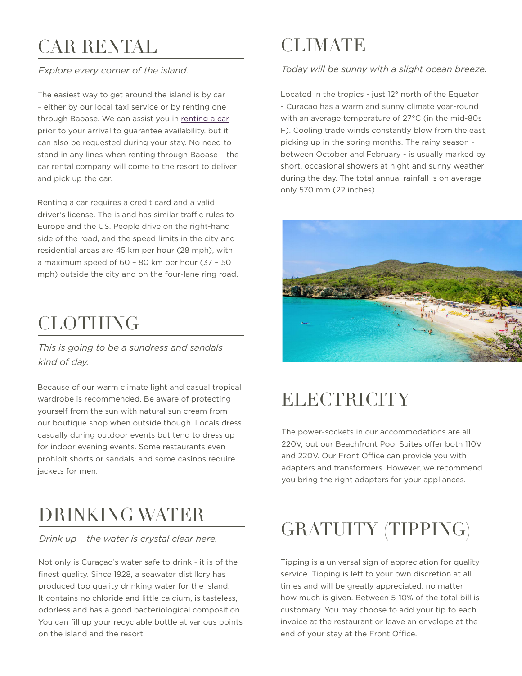## CAR RENTAL

#### *Explore every corner of the island.*

The easiest way to get around the island is by car – either by our local taxi service or by renting one through Baoase. We can assist you in [renting a car](http://baoase.com/travel-island-info/car-rental/) prior to your arrival to guarantee availability, but it can also be requested during your stay. No need to stand in any lines when renting through Baoase – the car rental company will come to the resort to deliver and pick up the car.

Renting a car requires a credit card and a valid driver's license. The island has similar traffic rules to Europe and the US. People drive on the right-hand side of the road, and the speed limits in the city and residential areas are 45 km per hour (28 mph), with a maximum speed of 60 – 80 km per hour (37 – 50 mph) outside the city and on the four-lane ring road.

#### **CLOTHING**

*This is going to be a sundress and sandals kind of day.*

Because of our warm climate light and casual tropical wardrobe is recommended. Be aware of protecting yourself from the sun with natural sun cream from our boutique shop when outside though. Locals dress casually during outdoor events but tend to dress up for indoor evening events. Some restaurants even prohibit shorts or sandals, and some casinos require jackets for men.

#### DRINKING WATER

#### *Drink up – the water is crystal clear here.*

Not only is Curaçao's water safe to drink - it is of the finest quality. Since 1928, a seawater distillery has produced top quality drinking water for the island. It contains no chloride and little calcium, is tasteless, odorless and has a good bacteriological composition. You can fill up your recyclable bottle at various points on the island and the resort.

#### **CLIMATE**

#### *Today will be sunny with a slight ocean breeze.*

Located in the tropics - just 12° north of the Equator - Curaçao has a warm and sunny climate year-round with an average temperature of 27°C (in the mid-80s F). Cooling trade winds constantly blow from the east, picking up in the spring months. The rainy season between October and February - is usually marked by short, occasional showers at night and sunny weather during the day. The total annual rainfall is on average only 570 mm (22 inches).



#### **ELECTRICITY**

The power-sockets in our accommodations are all 220V, but our Beachfront Pool Suites offer both 110V and 220V. Our Front Office can provide you with adapters and transformers. However, we recommend you bring the right adapters for your appliances.

## GRATUITY (TIPPING)

Tipping is a universal sign of appreciation for quality service. Tipping is left to your own discretion at all times and will be greatly appreciated, no matter how much is given. Between 5-10% of the total bill is customary. You may choose to add your tip to each invoice at the restaurant or leave an envelope at the end of your stay at the Front Office.